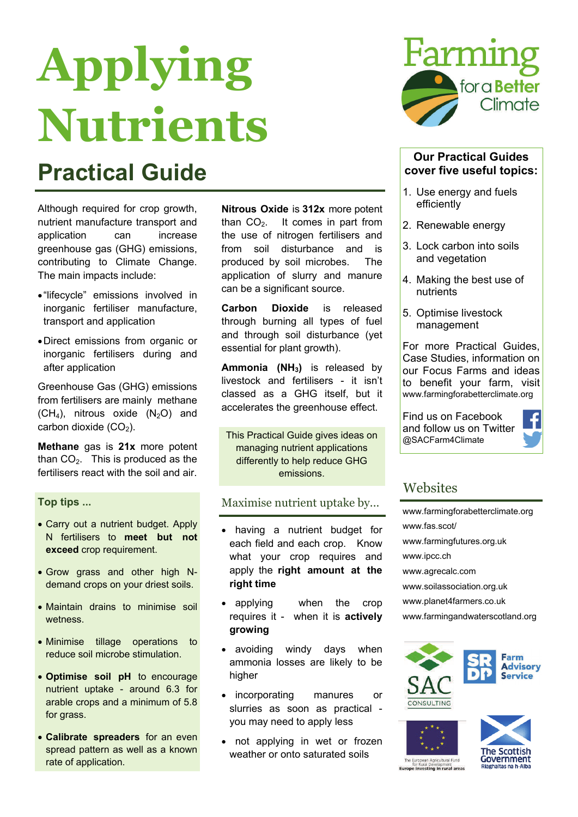# **Applying Nutrients**

### **Practical Guide**

Although required for crop growth, nutrient manufacture transport and application can increase greenhouse gas (GHG) emissions, contributing to Climate Change. The main impacts include:

- "lifecycle" emissions involved in inorganic fertiliser manufacture, transport and application
- Direct emissions from organic or inorganic fertilisers during and after application

Greenhouse Gas (GHG) emissions from fertilisers are mainly methane  $(CH<sub>4</sub>)$ , nitrous oxide  $(N<sub>2</sub>O)$  and carbon dioxide  $(CO<sub>2</sub>)$ .

**Methane** gas is **21x** more potent than  $CO<sub>2</sub>$ . This is produced as the fertilisers react with the soil and air.

#### **Top tips ...**

- Carry out a nutrient budget. Apply N fertilisers to **meet but not exceed** crop requirement.
- Grow grass and other high Ndemand crops on your driest soils.
- Maintain drains to minimise soil wetness.
- Minimise tillage operations to reduce soil microbe stimulation.
- **Optimise soil pH** to encourage nutrient uptake - around 6.3 for arable crops and a minimum of 5.8 for grass.
- **Calibrate spreaders** for an even spread pattern as well as a known rate of application.

**Nitrous Oxide** is **312x** more potent than  $CO<sub>2</sub>$ . It comes in part from the use of nitrogen fertilisers and from soil disturbance and is produced by soil microbes. The application of slurry and manure can be a significant source.

**Carbon Dioxide** is released through burning all types of fuel and through soil disturbance (yet essential for plant growth).

Ammonia (NH<sub>3</sub>) is released by livestock and fertilisers - it isn't classed as a GHG itself, but it accelerates the greenhouse effect.

This Practical Guide gives ideas on managing nutrient applications differently to help reduce GHG emissions.

#### Maximise nutrient uptake by...

- having a nutrient budget for each field and each crop. Know what your crop requires and apply the **right amount at the right time**
- applying when the crop requires it - when it is **actively growing**
- avoiding windy days when ammonia losses are likely to be higher
- incorporating manures or slurries as soon as practical you may need to apply less
- not applying in wet or frozen weather or onto saturated soils



#### **Our Practical Guides cover five useful topics:**

- 1. Use energy and fuels efficiently
- 2. Renewable energy
- 3. Lock carbon into soils and vegetation
- 4. Making the best use of nutrients
- 5. Optimise livestock management

For more Practical Guides, Case Studies, information on our Focus Farms and ideas to benefit your farm, visit www.farmingforabetterclimate.org

Find us on Facebook and follow us on Twitter @SACFarm4Climate



#### **Websites**

[www.farmingforabetterclimate.org](http://www.farmingforabetterclimate.org) [www.fas.scot/](http://www.sac.ac.uk/climatechange) [www.farmingfutures.org.uk](http://www.farmingfutures.org.uk) [www.ipcc.ch](http://www.ipcc.ch)  [www.agrecalc.com](http://www.agrecalc.com)  [www.soilassociation.org.uk](http://www.soilassociation.org.uk)  [www.planet4farmers.co.uk](http://www.planet4farmers.co.uk) [www.farmingandwaterscotland.org](http://www.farmingandwaterscotland.org)







tor Rural Development<br>Europe investing in rural areas